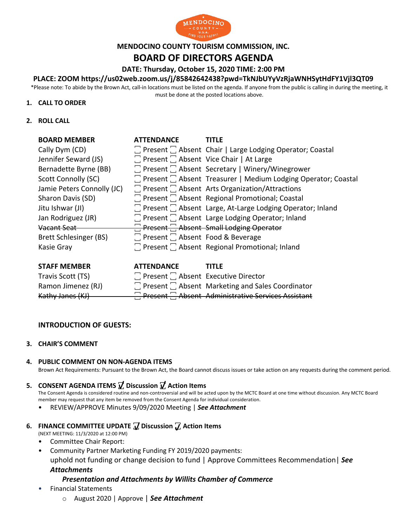

#### **MENDOCINO COUNTY TOURISM COMMISSION, INC.**

## **BOARD OF DIRECTORS AGENDA**

**DATE: Thursday, October 15, 2020 TIME: 2:00 PM**

#### **PLACE: ZOOM https://us02web.zoom.us/j/85842642438?pwd=TkNJbUYyVzRjaWNHSytHdFY1Vjl3QT09**

\*Please note: To abide by the Brown Act, call-in locations must be listed on the agenda. If anyone from the public is calling in during the meeting, it must be done at the posted locations above.

#### **1. CALL TO ORDER**

**2. ROLL CALL**

| <b>BOARD MEMBER</b>        | <b>ATTENDANCE</b>                            | <b>TITLF</b>                                                         |
|----------------------------|----------------------------------------------|----------------------------------------------------------------------|
| Cally Dym (CD)             |                                              | $\Box$ Present $\Box$ Absent Chair   Large Lodging Operator; Coastal |
| Jennifer Seward (JS)       |                                              | $\Box$ Present $\Box$ Absent Vice Chair   At Large                   |
| Bernadette Byrne (BB)      |                                              | □ Present □ Absent Secretary   Winery/Winegrower                     |
| Scott Connolly (SC)        |                                              | Feresent Fabsent Treasurer   Medium Lodging Operator; Coastal        |
| Jamie Peters Connolly (JC) |                                              | $\Box$ Present $\Box$ Absent Arts Organization/Attractions           |
| Sharon Davis (SD)          |                                              | $\Box$ Present $\Box$ Absent Regional Promotional; Coastal           |
| Jitu Ishwar (JI)           |                                              | Present C Absent Large, At-Large Lodging Operator; Inland            |
| Jan Rodriguez (JR)         |                                              | $\Box$ Present $\Box$ Absent Large Lodging Operator; Inland          |
| Vacant Seat                |                                              | Present Absent Small Lodging Operator                                |
| Brett Schlesinger (BS)     | $\Box$ Present $\Box$ Absent Food & Beverage |                                                                      |
| Kasie Gray                 |                                              | Present Regional Promotional; Inland                                 |
|                            |                                              |                                                                      |
| <b>STAFF MEMBER</b>        | <b>ATTENDANCE</b>                            | TITLE                                                                |
| T., ', C., II (TC)         |                                              |                                                                      |

| <b>SIAFF MEMPER</b> | <b>AIIENDANCE</b>                               | . <del>.</del>                                               |
|---------------------|-------------------------------------------------|--------------------------------------------------------------|
| Travis Scott (TS)   | $\Box$ Present $\Box$ Absent Executive Director |                                                              |
| Ramon Jimenez (RJ)  |                                                 | $\Box$ Present $\Box$ Absent Marketing and Sales Coordinator |
| Kathy Janes (KJ)    |                                                 | Present Rhsent Administrative Services Assistant             |

#### **INTRODUCTION OF GUESTS:**

**3. CHAIR'S COMMENT**

#### **4. PUBLIC COMMENT ON NON-AGENDA ITEMS**

Brown Act Requirements: Pursuant to the Brown Act, the Board cannot discuss issues or take action on any requests during the comment period.

#### **5. CONSENT AGENDA ITEMS ꙱ Discussion ꙱ Action Items**

The Consent Agenda is considered routine and non-controversial and will be acted upon by the MCTC Board at one time without discussion. Any MCTC Board member may request that any item be removed from the Consent Agenda for individual consideration.

• REVIEW/APPROVE Minutes 9/09/2020 Meeting | *See Attachment*

# **6. FINANCE COMMITTEE UPDATE** *J* **Discussion** *J* **Action Items**

(NEXT MEETING: 11/3/2020 at 12:00 PM)

- Committee Chair Report:
- Community Partner Marketing Funding FY 2019/2020 payments: m uphold not funding or change decision to fund | Approve Committees Recommendation| *See*  m *Attachments* i

#### *Presentation and Attachments by Willits Chamber of Commerce* t t

- Financial Statements
	- o August 2020 | Approve | *See Attachment* e IL